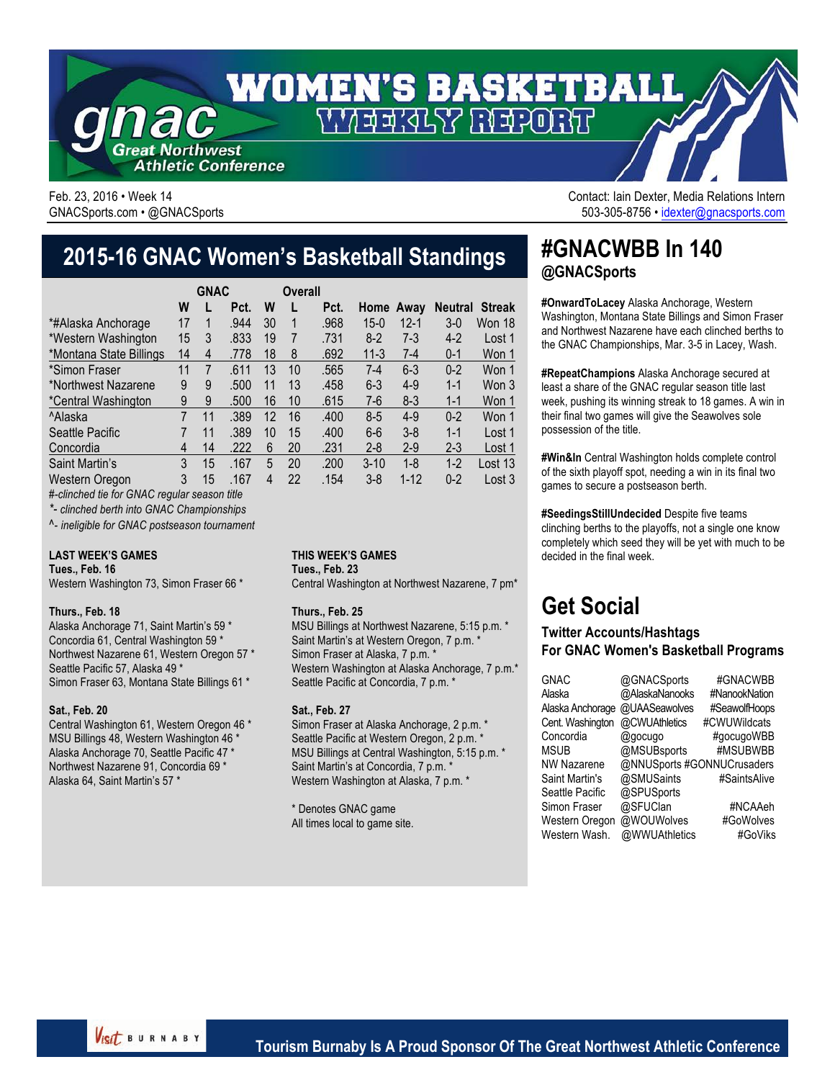

Feb. 23, 2016 • Week 14 Contact: Iain Dexter, Media Relations Intern GNACSports.com • @GNACSports 6000 CNACSPORTS 503-305-8756 • idexter@gnacsports.com

## **2015-16 GNAC Women's Basketball Standings**

|                         |                | <b>GNAC</b> |      |    | Overall |      |           |          |                |               |
|-------------------------|----------------|-------------|------|----|---------|------|-----------|----------|----------------|---------------|
|                         | W              |             | Pct. | W  |         | Pct. | Home Away |          | <b>Neutral</b> | <b>Streak</b> |
| *#Alaska Anchorage      | 17             |             | .944 | 30 |         | .968 | $15-0$    | $12 - 1$ | $3-0$          | Won 18        |
| *Western Washington     | 15             | 3           | .833 | 19 | 7       | .731 | $8-2$     | $7-3$    | $4-2$          | Lost 1        |
| *Montana State Billings | 14             | 4           | .778 | 18 | 8       | .692 | $11 - 3$  | $7 - 4$  | $0 - 1$        | Won 1         |
| *Simon Fraser           | 11             | 7           | .611 | 13 | 10      | .565 | $7-4$     | $6 - 3$  | $0 - 2$        | Won 1         |
| *Northwest Nazarene     | 9              | 9           | .500 | 11 | 13      | .458 | $6 - 3$   | $4-9$    | $1 - 1$        | Won 3         |
| *Central Washington     | 9              | 9           | .500 | 16 | 10      | .615 | $7-6$     | $8-3$    | $1 - 1$        | Won 1         |
| <sup>^</sup> Alaska     | $\overline{7}$ | 11          | .389 | 12 | 16      | .400 | $8 - 5$   | $4-9$    | $0 - 2$        | Won 1         |
| Seattle Pacific         |                | 11          | .389 | 10 | 15      | .400 | $6-6$     | $3 - 8$  | $1 - 1$        | Lost 1        |
| Concordia               | 4              | 14          | .222 | 6  | 20      | .231 | $2 - 8$   | $2 - 9$  | $2 - 3$        | Lost 1        |
| Saint Martin's          | 3              | 15          | .167 | 5  | 20      | .200 | $3 - 10$  | $1 - 8$  | $1-2$          | Lost 13       |
| Western Oregon          | 3              | 15          | .167 | 4  | 22      | .154 | $3 - 8$   | $1 - 12$ | $0 - 2$        | Lost 3        |

*#-clinched tie for GNAC regular season title*

*\*- clinched berth into GNAC Championships*

*^- ineligible for GNAC postseason tournament*

#### **LAST WEEK'S GAMES**

**Tues., Feb. 16**

Western Washington 73, Simon Fraser 66 \*

#### **Thurs., Feb. 18**

Alaska Anchorage 71, Saint Martin's 59 \* Concordia 61, Central Washington 59 \* Northwest Nazarene 61, Western Oregon 57 \* Seattle Pacific 57, Alaska 49 \* Simon Fraser 63, Montana State Billings 61 \*

#### **Sat., Feb. 20**

Central Washington 61, Western Oregon 46 \* MSU Billings 48, Western Washington 46 \* Alaska Anchorage 70, Seattle Pacific 47 \* Northwest Nazarene 91, Concordia 69 \* Alaska 64, Saint Martin's 57 \*

#### **THIS WEEK'S GAMES**

**Tues., Feb. 23**

Central Washington at Northwest Nazarene, 7 pm\*

#### **Thurs., Feb. 25**

MSU Billings at Northwest Nazarene, 5:15 p.m. \* Saint Martin's at Western Oregon, 7 p.m. \* Simon Fraser at Alaska, 7 p.m. \* Western Washington at Alaska Anchorage, 7 p.m.\* Seattle Pacific at Concordia, 7 p.m. \*

#### **Sat., Feb. 27**

Simon Fraser at Alaska Anchorage, 2 p.m. \* Seattle Pacific at Western Oregon, 2 p.m. \* MSU Billings at Central Washington, 5:15 p.m. \* Saint Martin's at Concordia, 7 p.m. \* Western Washington at Alaska, 7 p.m. \*

\* Denotes GNAC game All times local to game site.

### **#GNACWBB In 140 @GNACSports**

**#OnwardToLacey** Alaska Anchorage, Western Washington, Montana State Billings and Simon Fraser and Northwest Nazarene have each clinched berths to the GNAC Championships, Mar. 3-5 in Lacey, Wash.

**#RepeatChampions** Alaska Anchorage secured at least a share of the GNAC regular season title last week, pushing its winning streak to 18 games. A win in their final two games will give the Seawolves sole possession of the title.

**#Win&In** Central Washington holds complete control of the sixth playoff spot, needing a win in its final two games to secure a postseason berth.

**#SeedingsStillUndecided** Despite five teams clinching berths to the playoffs, not a single one know completely which seed they will be yet with much to be decided in the final week.

# **Get Social**

#### **Twitter Accounts/Hashtags For GNAC Women's Basketball Programs**

| <b>GNAC</b>           | @GNACSports                | #GNACWBB      |
|-----------------------|----------------------------|---------------|
| Alaska                | @AlaskaNanooks             | #NanookNation |
| Alaska Anchorage      | @UAASeawolves              | #SeawolfHoops |
| Cent. Washington      | @CWUAthletics              | #CWUWildcats  |
| Concordia             | @gocugo                    | #gocugoWBB    |
| <b>MSUB</b>           | @MSUBsports                | #MSUBWBB      |
| <b>NW Nazarene</b>    | @NNUSports #GONNUCrusaders |               |
| <b>Saint Martin's</b> | @SMUSaints                 | #SaintsAlive  |
| Seattle Pacific       | @SPUSports                 |               |
| Simon Fraser          | @SFUClan                   | #NCAAeh       |
| Western Oregon        | @WOUWolves                 | #GoWolves     |
| Western Wash.         | @WWUAthletics              | #GoViks       |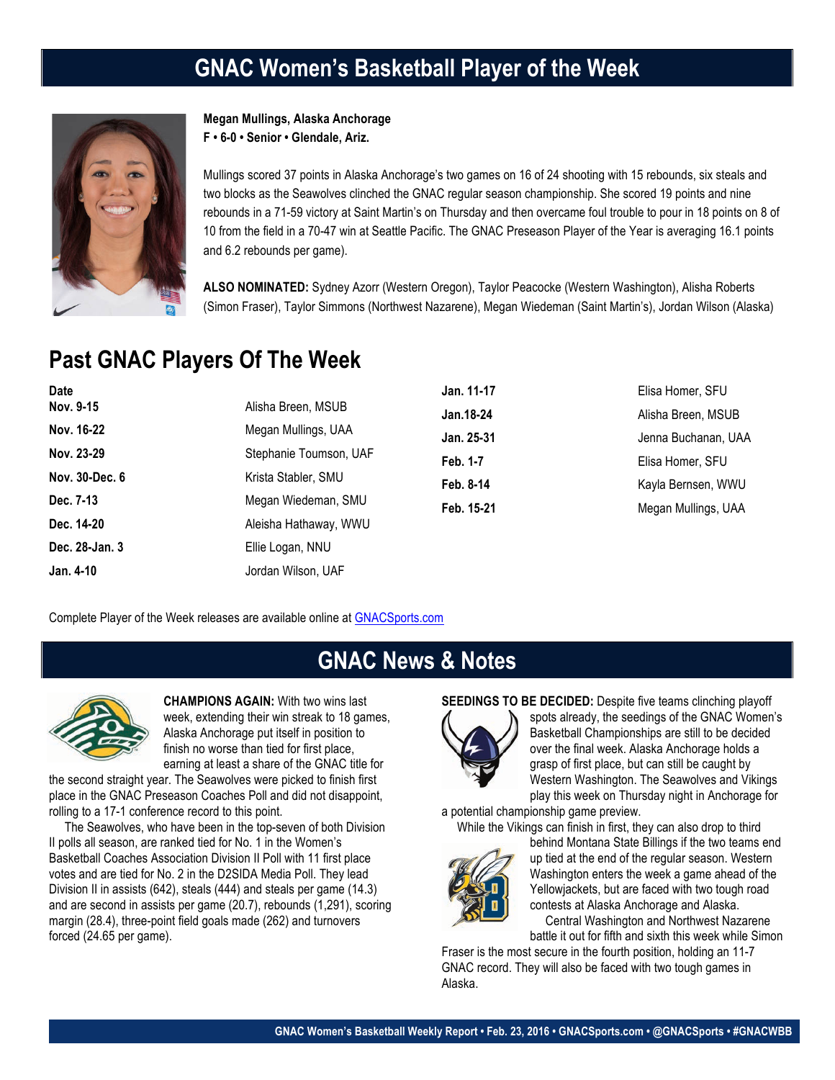# **GNAC Women's Basketball Player of the Week**



**Megan Mullings, Alaska Anchorage F • 6-0 • Senior • Glendale, Ariz.**

Mullings scored 37 points in Alaska Anchorage's two games on 16 of 24 shooting with 15 rebounds, six steals and two blocks as the Seawolves clinched the GNAC regular season championship. She scored 19 points and nine rebounds in a 71-59 victory at Saint Martin's on Thursday and then overcame foul trouble to pour in 18 points on 8 of 10 from the field in a 70-47 win at Seattle Pacific. The GNAC Preseason Player of the Year is averaging 16.1 points and 6.2 rebounds per game).

**ALSO NOMINATED:** Sydney Azorr (Western Oregon), Taylor Peacocke (Western Washington), Alisha Roberts (Simon Fraser), Taylor Simmons (Northwest Nazarene), Megan Wiedeman (Saint Martin's), Jordan Wilson (Alaska)

# **Past GNAC Players Of The Week**

| <b>Date</b>    |                        | Jan. 11-17 | Elisa Homer, SFU    |
|----------------|------------------------|------------|---------------------|
| Nov. 9-15      | Alisha Breen, MSUB     | Jan. 18-24 | Alisha Breen, MSUB  |
| Nov. 16-22     | Megan Mullings, UAA    | Jan. 25-31 | Jenna Buchanan, UAA |
| Nov. 23-29     | Stephanie Toumson, UAF | Feb. 1-7   | Elisa Homer, SFU    |
| Nov. 30-Dec. 6 | Krista Stabler, SMU    | Feb. 8-14  | Kayla Bernsen, WWU  |
| Dec. 7-13      | Megan Wiedeman, SMU    | Feb. 15-21 | Megan Mullings, UAA |
| Dec. 14-20     | Aleisha Hathaway, WWU  |            |                     |
| Dec. 28-Jan. 3 | Ellie Logan, NNU       |            |                     |
| Jan. 4-10      | Jordan Wilson, UAF     |            |                     |

Complete Player of the Week releases are available online at GNACSports.com

### **GNAC News & Notes**



**CHAMPIONS AGAIN:** With two wins last week, extending their win streak to 18 games, Alaska Anchorage put itself in position to finish no worse than tied for first place, earning at least a share of the GNAC title for

the second straight year. The Seawolves were picked to finish first place in the GNAC Preseason Coaches Poll and did not disappoint, rolling to a 17-1 conference record to this point.

 The Seawolves, who have been in the top-seven of both Division II polls all season, are ranked tied for No. 1 in the Women's Basketball Coaches Association Division II Poll with 11 first place votes and are tied for No. 2 in the D2SIDA Media Poll. They lead Division II in assists (642), steals (444) and steals per game (14.3) and are second in assists per game (20.7), rebounds (1,291), scoring margin (28.4), three-point field goals made (262) and turnovers forced (24.65 per game).

#### **SEEDINGS TO BE DECIDED:** Despite five teams clinching playoff



spots already, the seedings of the GNAC Women's Basketball Championships are still to be decided over the final week. Alaska Anchorage holds a grasp of first place, but can still be caught by Western Washington. The Seawolves and Vikings play this week on Thursday night in Anchorage for

a potential championship game preview. While the Vikings can finish in first, they can also drop to third



behind Montana State Billings if the two teams end up tied at the end of the regular season. Western Washington enters the week a game ahead of the Yellowjackets, but are faced with two tough road contests at Alaska Anchorage and Alaska. Central Washington and Northwest Nazarene

battle it out for fifth and sixth this week while Simon

Fraser is the most secure in the fourth position, holding an 11-7 GNAC record. They will also be faced with two tough games in Alaska.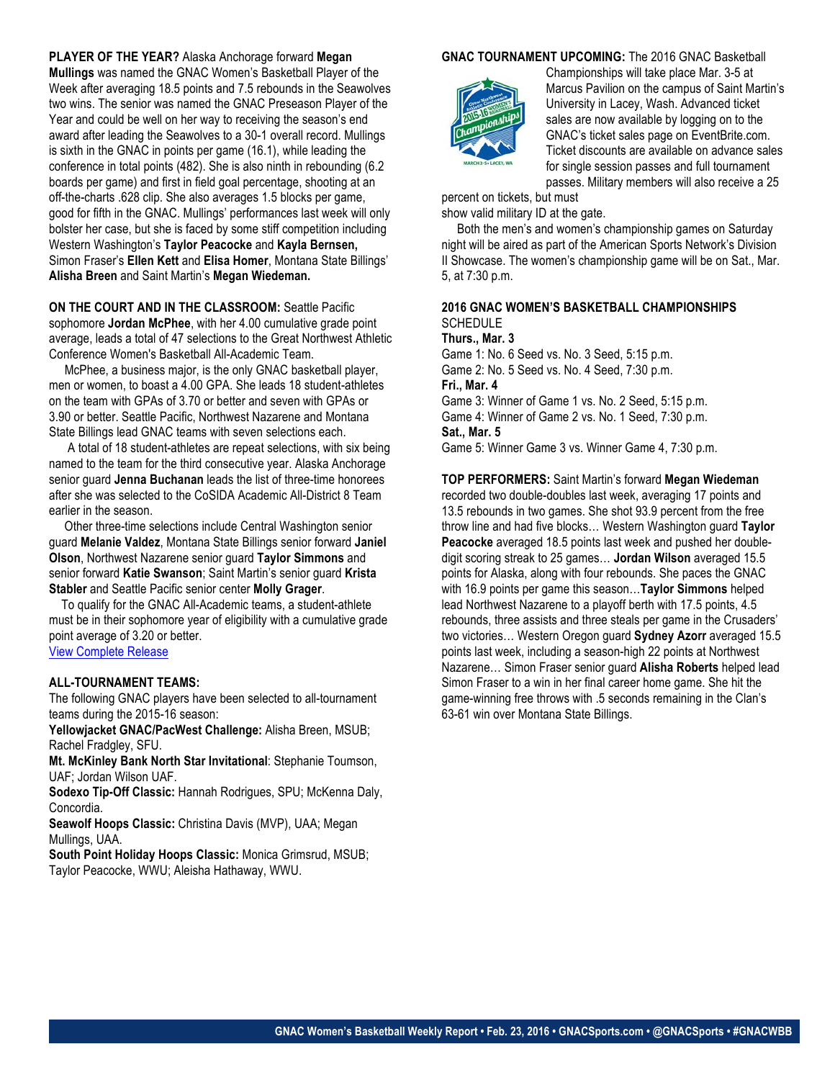#### **PLAYER OF THE YEAR?** Alaska Anchorage forward **Megan**

**Mullings** was named the GNAC Women's Basketball Player of the Week after averaging 18.5 points and 7.5 rebounds in the Seawolves two wins. The senior was named the GNAC Preseason Player of the Year and could be well on her way to receiving the season's end award after leading the Seawolves to a 30-1 overall record. Mullings is sixth in the GNAC in points per game (16.1), while leading the conference in total points (482). She is also ninth in rebounding (6.2 boards per game) and first in field goal percentage, shooting at an off-the-charts .628 clip. She also averages 1.5 blocks per game, good for fifth in the GNAC. Mullings' performances last week will only bolster her case, but she is faced by some stiff competition including Western Washington's **Taylor Peacocke** and **Kayla Bernsen,**  Simon Fraser's **Ellen Kett** and **Elisa Homer**, Montana State Billings' **Alisha Breen** and Saint Martin's **Megan Wiedeman.** 

#### **ON THE COURT AND IN THE CLASSROOM: Seattle Pacific** sophomore **Jordan McPhee**, with her 4.00 cumulative grade point average, leads a total of 47 selections to the Great Northwest Athletic Conference Women's Basketball All-Academic Team.

 McPhee, a business major, is the only GNAC basketball player, men or women, to boast a 4.00 GPA. She leads 18 student-athletes on the team with GPAs of 3.70 or better and seven with GPAs or 3.90 or better. Seattle Pacific, Northwest Nazarene and Montana State Billings lead GNAC teams with seven selections each.

 A total of 18 student-athletes are repeat selections, with six being named to the team for the third consecutive year. Alaska Anchorage senior guard **Jenna Buchanan** leads the list of three-time honorees after she was selected to the CoSIDA Academic All-District 8 Team earlier in the season.

 Other three-time selections include Central Washington senior guard **Melanie Valdez**, Montana State Billings senior forward **Janiel Olson**, Northwest Nazarene senior guard **Taylor Simmons** and senior forward **Katie Swanson**; Saint Martin's senior guard **Krista Stabler** and Seattle Pacific senior center **Molly Grager**.

 To qualify for the GNAC All-Academic teams, a student-athlete must be in their sophomore year of eligibility with a cumulative grade point average of 3.20 or better. View Complete Release

### **ALL-TOURNAMENT TEAMS:**

The following GNAC players have been selected to all-tournament teams during the 2015-16 season:

**Yellowjacket GNAC/PacWest Challenge:** Alisha Breen, MSUB; Rachel Fradgley, SFU.

**Mt. McKinley Bank North Star Invitational**: Stephanie Toumson, UAF; Jordan Wilson UAF.

**Sodexo Tip-Off Classic:** Hannah Rodrigues, SPU; McKenna Daly, Concordia.

**Seawolf Hoops Classic:** Christina Davis (MVP), UAA; Megan Mullings, UAA.

**South Point Holiday Hoops Classic:** Monica Grimsrud, MSUB; Taylor Peacocke, WWU; Aleisha Hathaway, WWU.

#### **GNAC TOURNAMENT UPCOMING:** The 2016 GNAC Basketball



Championships will take place Mar. 3-5 at Marcus Pavilion on the campus of Saint Martin's University in Lacey, Wash. Advanced ticket sales are now available by logging on to the GNAC's ticket sales page on EventBrite.com. Ticket discounts are available on advance sales for single session passes and full tournament passes. Military members will also receive a 25

percent on tickets, but must show valid military ID at the gate.

 Both the men's and women's championship games on Saturday night will be aired as part of the American Sports Network's Division II Showcase. The women's championship game will be on Sat., Mar. 5, at 7:30 p.m.

#### **2016 GNAC WOMEN'S BASKETBALL CHAMPIONSHIPS SCHEDULE**

#### **Thurs., Mar. 3**

Game 1: No. 6 Seed vs. No. 3 Seed, 5:15 p.m. Game 2: No. 5 Seed vs. No. 4 Seed, 7:30 p.m.

#### **Fri., Mar. 4**

Game 3: Winner of Game 1 vs. No. 2 Seed, 5:15 p.m. Game 4: Winner of Game 2 vs. No. 1 Seed, 7:30 p.m. **Sat., Mar. 5**

Game 5: Winner Game 3 vs. Winner Game 4, 7:30 p.m.

#### **TOP PERFORMERS:** Saint Martin's forward **Megan Wiedeman**

recorded two double-doubles last week, averaging 17 points and 13.5 rebounds in two games. She shot 93.9 percent from the free throw line and had five blocks… Western Washington guard **Taylor Peacocke** averaged 18.5 points last week and pushed her doubledigit scoring streak to 25 games… **Jordan Wilson** averaged 15.5 points for Alaska, along with four rebounds. She paces the GNAC with 16.9 points per game this season…**Taylor Simmons** helped lead Northwest Nazarene to a playoff berth with 17.5 points, 4.5 rebounds, three assists and three steals per game in the Crusaders' two victories… Western Oregon guard **Sydney Azorr** averaged 15.5 points last week, including a season-high 22 points at Northwest Nazarene… Simon Fraser senior guard **Alisha Roberts** helped lead Simon Fraser to a win in her final career home game. She hit the game-winning free throws with .5 seconds remaining in the Clan's 63-61 win over Montana State Billings.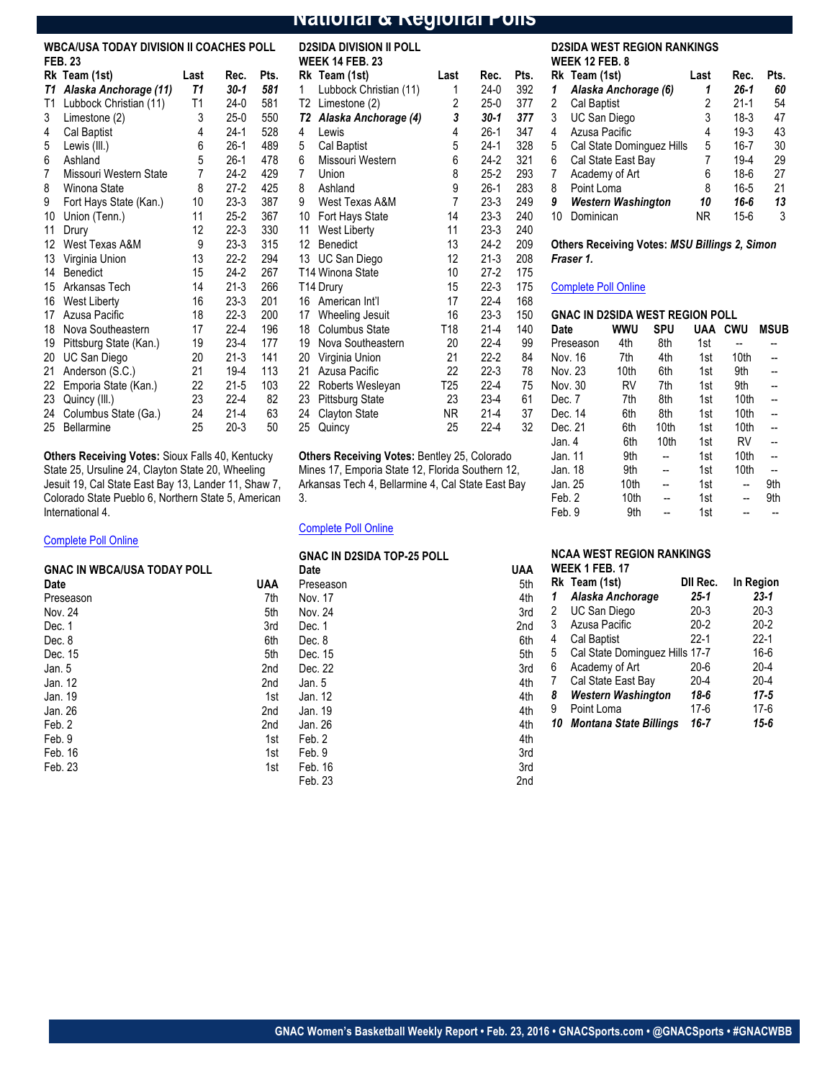#### **National & Regional Polls**

### **WBCA/USA TODAY DIVISION II COACHES POLL**

|    | <b>FEB. 23</b>         |      |          |      | V              |
|----|------------------------|------|----------|------|----------------|
|    | Rk Team (1st)          | Last | Rec.     | Pts. | R              |
| T1 | Alaska Anchorage (11)  | Т1   | 30-1     | 581  | 1              |
| T1 | Lubbock Christian (11) | T1   | 24-0     | 581  | Т              |
| 3  | Limestone (2)          | 3    | $25-0$   | 550  | T              |
| 4  | Cal Baptist            | 4    | 24-1     | 528  | 4              |
| 5  | Lewis (III.)           | 6    | 26-1     | 489  | 5              |
| 6  | Ashland                | 5    | 26-1     | 478  | 6              |
| 7  | Missouri Western State | 7    | 24-2     | 429  | 7              |
| 8  | Winona State           | 8    | 27-2     | 425  | 8              |
| 9  | Fort Hays State (Kan.) | 10   | 23-3     | 387  | 9              |
| 10 | Union (Tenn.)          | 11   | 25-2     | 367  | 1              |
| 11 | Drury                  | 12   | 22-3     | 330  | 1              |
| 12 | West Texas A&M         | 9    | 23-3     | 315  | $\mathbf{1}$   |
| 13 | Virginia Union         | 13   | 22-2     | 294  | 1              |
| 14 | Benedict               | 15   | $24-2$   | 267  | Τ              |
| 15 | Arkansas Tech          | 14   | 21-3     | 266  | Τ              |
| 16 | <b>West Liberty</b>    | 16   | 23-3     | 201  | 1              |
| 17 | Azusa Pacific          | 18   | 22-3     | 200  | 1              |
| 18 | Nova Southeastern      | 17   | 22-4     | 196  | 1              |
| 19 | Pittsburg State (Kan.) | 19   | 23-4     | 177  | 1              |
| 20 | UC San Diego           | 20   | 21-3     | 141  | 2              |
| 21 | Anderson (S.C.)        | 21   | 19-4     | 113  | 2              |
| 22 | Emporia State (Kan.)   | 22   | 21-5     | 103  | $\overline{c}$ |
| 23 | Quincy (III.)          | 23   | 22-4     | 82   | $\overline{c}$ |
| 24 | Columbus State (Ga.)   | 24   | $21 - 4$ | 63   | $\overline{c}$ |
| 25 | <b>Bellarmine</b>      | 25   | $20-3$   | 50   | $\mathbf{c}$   |

**Others Receiving Votes:** Sioux Falls 40, Kentucky State 25, Ursuline 24, Clayton State 20, Wheeling Jesuit 19, Cal State East Bay 13, Lander 11, Shaw 7, Colorado State Pueblo 6, Northern State 5, American International 4.

#### Complete Poll Online

| <b>GNAC IN WBCA/USA TODAY POLL</b> |     |
|------------------------------------|-----|
| Date                               | UAA |
| Preseason                          | 7th |
| Nov. 24                            | 5th |
| Dec. 1                             | 3rd |
| Dec. 8                             | 6th |
| Dec. 15                            | 5th |
| Jan. 5                             | 2nd |
| Jan. 12                            | 2nd |
| Jan. 19                            | 1st |
| Jan. 26                            | 2nd |
| Feb. 2                             | 2nd |
| Feb. 9                             | 1st |
| Feb. 16                            | 1st |
| Feb. 23                            | 1st |

|    | D2SIDA DIVISION II POLL<br><b>WEEK 14 FEB. 23</b> |                 |          |      |
|----|---------------------------------------------------|-----------------|----------|------|
|    | Rk Team (1st)                                     | Last            | Rec.     | Pts. |
| 1  | Lubbock Christian (11)                            | 1               | $24-0$   | 392  |
| Т2 | Limestone (2)                                     | $\overline{c}$  | $25-0$   | 377  |
| T2 | Alaska Anchorage (4)                              | 3               | $30-1$   | 377  |
| 4  | Lewis                                             | 4               | $26-1$   | 347  |
| 5  | Cal Baptist                                       | 5               | $24-1$   | 328  |
| 6  | Missouri Western                                  | 6               | 24-2     | 321  |
| 7  | Union                                             | 8               | $25-2$   | 293  |
| 8  | Ashland                                           | 9               | $26-1$   | 283  |
| 9  | West Texas A&M                                    | $\overline{7}$  | $23-3$   | 249  |
|    | 10 Fort Hays State                                | 14              | 23-3     | 240  |
| 11 | <b>West Liberty</b>                               | 11              | 23-3     | 240  |
| 12 | <b>Benedict</b>                                   | 13              | $24-2$   | 209  |
|    | 13 UC San Diego                                   | 12              | $21-3$   | 208  |
|    | T14 Winona State                                  | 10              | $27-2$   | 175  |
|    | T14 Drury                                         | 15              | 22-3     | 175  |
| 16 | American Int'l                                    | 17              | 22-4     | 168  |
| 17 | Wheeling Jesuit                                   | 16              | 23-3     | 150  |
|    | 18 Columbus State                                 | T18             | $21 - 4$ | 140  |
| 19 | Nova Southeastern                                 | 20              | $22 - 4$ | 99   |
| 20 | Virginia Union                                    | 21              | $22 - 2$ | 84   |
| 21 | Azusa Pacific                                     | 22              | 22-3     | 78   |
| 22 | Roberts Wesleyan                                  | T <sub>25</sub> | $22 - 4$ | 75   |
| 23 | <b>Pittsburg State</b>                            | 23              | $23-4$   | 61   |
| 24 | <b>Clayton State</b>                              | NR              | $21 - 4$ | 37   |
| 25 | Quincy                                            | 25              | $22 - 4$ | 32   |
|    |                                                   |                 |          |      |

**Others Receiving Votes:** Bentley 25, Colorado Mines 17, Emporia State 12, Florida Southern 12, Arkansas Tech 4, Bellarmine 4, Cal State East Bay 3.

Feb. 9 3rd Feb. 16 3rd Feb. 23 2nd

#### Complete Poll Online

| UNAU IN DZOIDA TUP-ZU PULL |     |
|----------------------------|-----|
| Date                       | UAA |
| Preseason                  | 5th |
| Nov. 17                    | 4th |

**GNAC IN D2SIDA TOP-25 POLL**

| <b>D2SIDA WEST REGION RANKINGS</b> |  |
|------------------------------------|--|
| <b>WEEK 12 FEB. 8</b>              |  |

|    | Rk Team (1st)             | Last | Rec.     | Pts. |
|----|---------------------------|------|----------|------|
| 1  | Alaska Anchorage (6)      | 1    | $26 - 1$ | 60   |
| 2  | Cal Baptist               | 2    | $21-1$   | 54   |
| 3  | UC San Diego              | 3    | $18-3$   | 47   |
| 4  | Azusa Pacific             | 4    | $19-3$   | 43   |
| 5  | Cal State Dominguez Hills | 5    | $16 - 7$ | 30   |
| 6  | Cal State East Bay        | 7    | $19 - 4$ | 29   |
| 7  | Academy of Art            | 6    | $18-6$   | 27   |
| 8  | Point Loma                | 8    | $16 - 5$ | 21   |
| 9  | <b>Western Washington</b> | 10   | 16-6     | 13   |
| 10 | Dominican                 | ΝR   | $15 - 6$ | 3    |

#### **Others Receiving Votes:** *MSU Billings 2, Simon Fraser 1.*

#### Complete Poll Online

| <b>GNAC IN D2SIDA WEST REGION POLL</b> |      |      |     |      |             |  |
|----------------------------------------|------|------|-----|------|-------------|--|
| Date                                   | wwu  | SPU  | UAA | CWU  | <b>MSUB</b> |  |
| Preseason                              | 4th  | 8th  | 1st |      |             |  |
| Nov. 16                                | 7th  | 4th  | 1st | 10th |             |  |
| Nov. 23                                | 10th | 6th  | 1st | 9th  |             |  |
| Nov. 30                                | RV   | 7th  | 1st | 9th  |             |  |
| Dec. 7                                 | 7th  | 8th  | 1st | 10th |             |  |
| Dec. 14                                | 6th  | 8th  | 1st | 10th |             |  |
| Dec. 21                                | 6th  | 10th | 1st | 10th |             |  |
| Jan. 4                                 | 6th  | 10th | 1st | RV   |             |  |
| Jan. 11                                | 9th  |      | 1st | 10th |             |  |
| Jan. 18                                | 9th  |      | 1st | 10th |             |  |
| Jan. 25                                | 10th |      | 1st |      | 9th         |  |
| Feb. 2                                 | 10th |      | 1st |      | 9th         |  |
| Feb. 9                                 | 9th  |      | 1st |      |             |  |

#### **NCAA WEST REGION RANKINGS**

| Date      | <b>UAA</b> | <b>WEEK 1 FEB. 17</b>          |          |           |
|-----------|------------|--------------------------------|----------|-----------|
| Preseason | 5th        | Rk Team (1st)                  | DII Rec. | In Region |
| Nov. 17   | 4th<br>1   | Alaska Anchorage               | $25 - 1$ | $23 - 1$  |
| Nov. 24   | 2<br>3rd   | UC San Diego                   | $20-3$   | $20-3$    |
| Dec. 1    | 3<br>2nd   | Azusa Pacific                  | $20 - 2$ | $20 - 2$  |
| Dec. 8    | 4<br>6th   | Cal Baptist                    | $22 - 1$ | $22 - 1$  |
| Dec. 15   | 5<br>5th   | Cal State Dominguez Hills 17-7 |          | $16-6$    |
| Dec. 22   | 6<br>3rd   | Academy of Art                 | $20 - 6$ | $20 - 4$  |
| Jan. 5    | 4th        | Cal State East Bay             | $20 - 4$ | $20 - 4$  |
| Jan. 12   | 8<br>4th   | Western Washington             | 18-6     | $17 - 5$  |
| Jan. 19   | 9<br>4th   | Point Loma                     | 17-6     | $17-6$    |
| Jan. 26   | 10<br>4th  | Montana State Billings         | $16 - 7$ | 15-6      |
| Feb. 2    | 4th        |                                |          |           |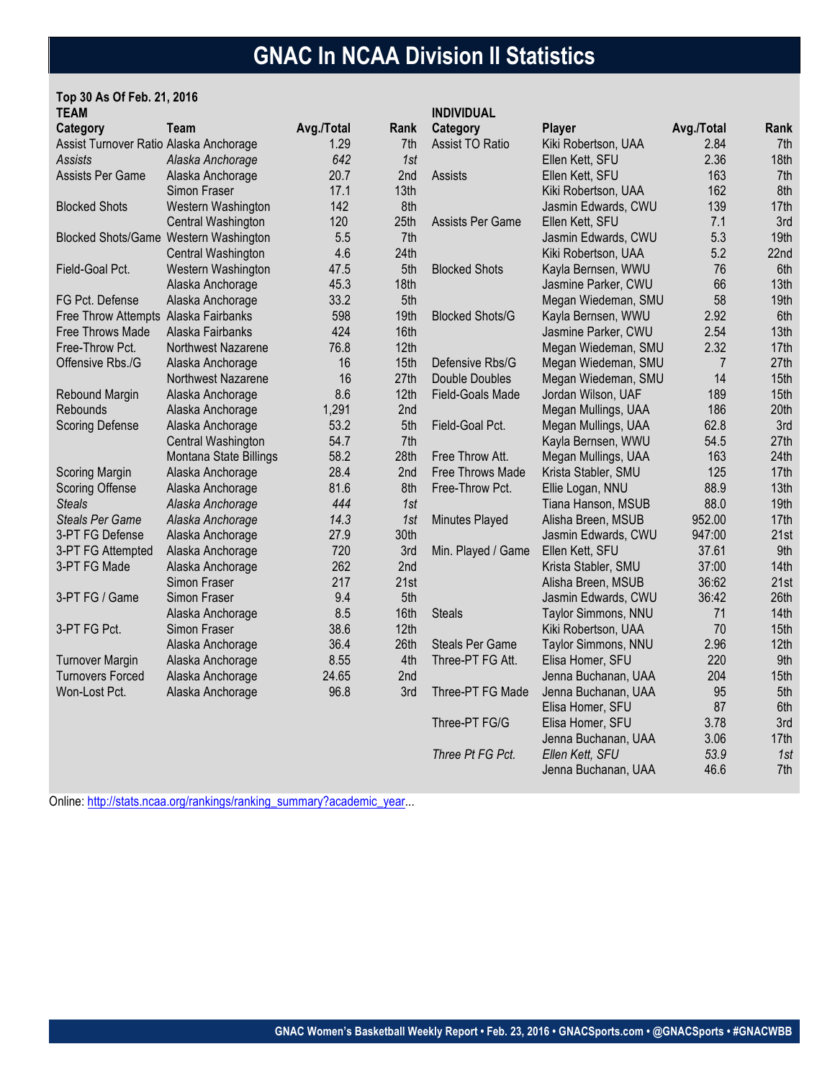# **GNAC In NCAA Division II Statistics**

#### **Top 30 As Of Feb. 21, 2016 TEAM**

| TEAM                                   |                                       |            |      | <b>INDIVIDUAL</b>       |                     |                |      |
|----------------------------------------|---------------------------------------|------------|------|-------------------------|---------------------|----------------|------|
| Category                               | Team                                  | Avg./Total | Rank | Category                | <b>Player</b>       | Avg./Total     | Rank |
| Assist Turnover Ratio Alaska Anchorage |                                       | 1.29       | 7th  | <b>Assist TO Ratio</b>  | Kiki Robertson, UAA | 2.84           | 7th  |
| Assists                                | Alaska Anchorage                      | 642        | 1st  |                         | Ellen Kett, SFU     | 2.36           | 18th |
| Assists Per Game                       | Alaska Anchorage                      | 20.7       | 2nd  | Assists                 | Ellen Kett, SFU     | 163            | 7th  |
|                                        | Simon Fraser                          | 17.1       | 13th |                         | Kiki Robertson, UAA | 162            | 8th  |
| <b>Blocked Shots</b>                   | Western Washington                    | 142        | 8th  |                         | Jasmin Edwards, CWU | 139            | 17th |
|                                        | Central Washington                    | 120        | 25th | Assists Per Game        | Ellen Kett, SFU     | 7.1            | 3rd  |
|                                        | Blocked Shots/Game Western Washington | 5.5        | 7th  |                         | Jasmin Edwards, CWU | 5.3            | 19th |
|                                        | Central Washington                    | 4.6        | 24th |                         | Kiki Robertson, UAA | 5.2            | 22nd |
| Field-Goal Pct.                        | Western Washington                    | 47.5       | 5th  | <b>Blocked Shots</b>    | Kayla Bernsen, WWU  | 76             | 6th  |
|                                        | Alaska Anchorage                      | 45.3       | 18th |                         | Jasmine Parker, CWU | 66             | 13th |
| FG Pct. Defense                        | Alaska Anchorage                      | 33.2       | 5th  |                         | Megan Wiedeman, SMU | 58             | 19th |
| Free Throw Attempts Alaska Fairbanks   |                                       | 598        | 19th | <b>Blocked Shots/G</b>  | Kayla Bernsen, WWU  | 2.92           | 6th  |
| Free Throws Made                       | Alaska Fairbanks                      | 424        | 16th |                         | Jasmine Parker, CWU | 2.54           | 13th |
| Free-Throw Pct.                        | Northwest Nazarene                    | 76.8       | 12th |                         | Megan Wiedeman, SMU | 2.32           | 17th |
| Offensive Rbs./G                       | Alaska Anchorage                      | 16         | 15th | Defensive Rbs/G         | Megan Wiedeman, SMU | $\overline{7}$ | 27th |
|                                        | Northwest Nazarene                    | 16         | 27th | Double Doubles          | Megan Wiedeman, SMU | 14             | 15th |
| Rebound Margin                         | Alaska Anchorage                      | 8.6        | 12th | <b>Field-Goals Made</b> | Jordan Wilson, UAF  | 189            | 15th |
| Rebounds                               | Alaska Anchorage                      | 1,291      | 2nd  |                         | Megan Mullings, UAA | 186            | 20th |
| <b>Scoring Defense</b>                 | Alaska Anchorage                      | 53.2       | 5th  | Field-Goal Pct.         | Megan Mullings, UAA | 62.8           | 3rd  |
|                                        | Central Washington                    | 54.7       | 7th  |                         | Kayla Bernsen, WWU  | 54.5           | 27th |
|                                        | Montana State Billings                | 58.2       | 28th | Free Throw Att.         | Megan Mullings, UAA | 163            | 24th |
| Scoring Margin                         | Alaska Anchorage                      | 28.4       | 2nd  | Free Throws Made        | Krista Stabler, SMU | 125            | 17th |
| <b>Scoring Offense</b>                 | Alaska Anchorage                      | 81.6       | 8th  | Free-Throw Pct.         | Ellie Logan, NNU    | 88.9           | 13th |
| <b>Steals</b>                          | Alaska Anchorage                      | 444        | 1st  |                         | Tiana Hanson, MSUB  | 88.0           | 19th |
| <b>Steals Per Game</b>                 | Alaska Anchorage                      | 14.3       | 1st  | Minutes Played          | Alisha Breen, MSUB  | 952.00         | 17th |
| 3-PT FG Defense                        | Alaska Anchorage                      | 27.9       | 30th |                         | Jasmin Edwards, CWU | 947:00         | 21st |
| 3-PT FG Attempted                      | Alaska Anchorage                      | 720        | 3rd  | Min. Played / Game      | Ellen Kett, SFU     | 37.61          | 9th  |
| 3-PT FG Made                           | Alaska Anchorage                      | 262        | 2nd  |                         | Krista Stabler, SMU | 37:00          | 14th |
|                                        | Simon Fraser                          | 217        | 21st |                         | Alisha Breen, MSUB  | 36:62          | 21st |
| 3-PT FG / Game                         | Simon Fraser                          | 9.4        | 5th  |                         | Jasmin Edwards, CWU | 36:42          | 26th |
|                                        | Alaska Anchorage                      | 8.5        | 16th | <b>Steals</b>           | Taylor Simmons, NNU | 71             | 14th |
| 3-PT FG Pct.                           | Simon Fraser                          | 38.6       | 12th |                         | Kiki Robertson, UAA | 70             | 15th |
|                                        | Alaska Anchorage                      | 36.4       | 26th | <b>Steals Per Game</b>  | Taylor Simmons, NNU | 2.96           | 12th |
| <b>Turnover Margin</b>                 | Alaska Anchorage                      | 8.55       | 4th  | Three-PT FG Att.        | Elisa Homer, SFU    | 220            | 9th  |
| <b>Turnovers Forced</b>                | Alaska Anchorage                      | 24.65      | 2nd  |                         | Jenna Buchanan, UAA | 204            | 15th |
| Won-Lost Pct.                          | Alaska Anchorage                      | 96.8       | 3rd  | Three-PT FG Made        | Jenna Buchanan, UAA | 95             | 5th  |
|                                        |                                       |            |      |                         | Elisa Homer, SFU    | 87             | 6th  |
|                                        |                                       |            |      | Three-PT FG/G           | Elisa Homer, SFU    | 3.78           | 3rd  |
|                                        |                                       |            |      |                         | Jenna Buchanan, UAA | 3.06           | 17th |
|                                        |                                       |            |      | Three Pt FG Pct.        | Ellen Kett, SFU     | 53.9           | 1st  |
|                                        |                                       |            |      |                         | Jenna Buchanan, UAA | 46.6           | 7th  |

Online: http://stats.ncaa.org/rankings/ranking\_summary?academic\_year...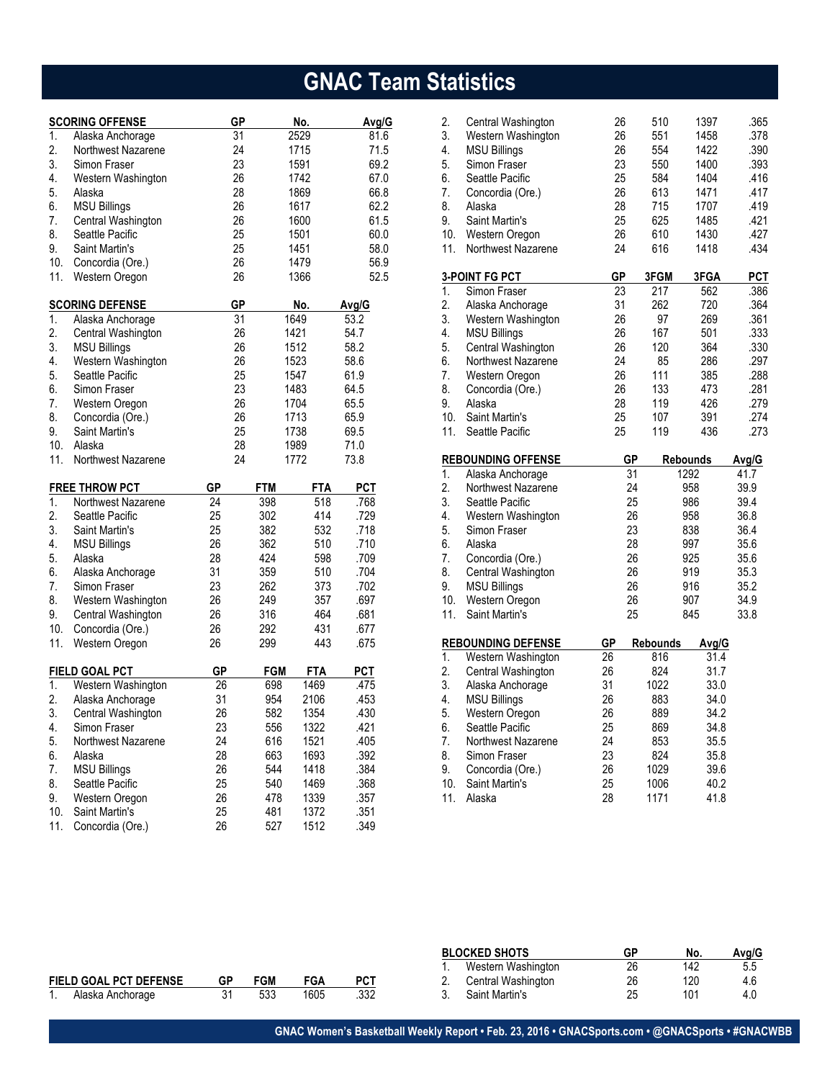# **GNAC Team Statistics**

|     | <b>SCORING OFFENSE</b> | GР |            | No.        | Avg/G |
|-----|------------------------|----|------------|------------|-------|
| 1.  | Alaska Anchorage       | 31 |            | 2529       | 81.6  |
| 2.  | Northwest Nazarene     | 24 |            | 1715       | 71.5  |
| 3.  | Simon Fraser           | 23 |            | 1591       | 69.2  |
| 4.  | Western Washington     | 26 |            | 1742       | 67.0  |
| 5.  | Alaska                 | 28 |            | 1869       | 66.8  |
| 6.  | <b>MSU Billings</b>    | 26 |            | 1617       | 62.2  |
| 7.  | Central Washington     | 26 |            | 1600       | 61.5  |
| 8.  | Seattle Pacific        | 25 |            | 1501       | 60.0  |
| 9.  | Saint Martin's         | 25 |            | 1451       | 58.0  |
| 10. | Concordia (Ore.)       | 26 |            | 1479       | 56.9  |
| 11. | Western Oregon         | 26 |            | 1366       | 52.5  |
|     | <b>SCORING DEFENSE</b> | GР |            | No.        | Avg/G |
| 1.  | Alaska Anchorage       | 31 |            | 1649       | 53.2  |
| 2.  | Central Washington     | 26 |            | 1421       | 54.7  |
| 3.  | <b>MSU Billings</b>    | 26 |            | 1512       | 58.2  |
| 4.  | Western Washington     | 26 |            | 1523       | 58.6  |
| 5.  | Seattle Pacific        | 25 |            | 1547       | 61.9  |
| 6.  | Simon Fraser           | 23 |            | 1483       | 64.5  |
| 7.  | Western Oregon         | 26 |            | 1704       | 65.5  |
| 8.  | Concordia (Ore.)       | 26 |            | 1713       | 65.9  |
| 9.  | Saint Martin's         | 25 |            | 1738       | 69.5  |
| 10. | Alaska                 | 28 |            | 1989       | 71.0  |
| 11. | Northwest Nazarene     | 24 |            | 1772       | 73.8  |
|     | <b>FREE THROW PCT</b>  | GP | FTM        | <b>FTA</b> | PCT   |
| 1.  | Northwest Nazarene     | 24 | 398        | 518        | .768  |
| 2.  | Seattle Pacific        | 25 | 302        | 414        | .729  |
| 3.  | Saint Martin's         | 25 | 382        | 532        | .718  |
| 4.  | <b>MSU Billings</b>    | 26 | 362        | 510        | .710  |
| 5.  | Alaska                 | 28 | 424        | 598        | .709  |
| 6.  | Alaska Anchorage       | 31 | 359        | 510        | .704  |
| 7.  | Simon Fraser           | 23 | 262        | 373        | .702  |
| 8.  | Western Washington     | 26 | 249        | 357        | .697  |
| 9.  | Central Washington     | 26 | 316        | 464        | .681  |
| 10. | Concordia (Ore.)       | 26 | 292        | 431        | .677  |
| 11. | Western Oregon         | 26 | 299        | 443        | .675  |
|     | <b>FIELD GOAL PCT</b>  | GP | <b>FGM</b> | <b>FTA</b> | PCT   |
| 1.  | Western Washington     | 26 | 698        | 1469       | .475  |
| 2.  | Alaska Anchorage       | 31 | 954        | 2106       | .453  |
| 3.  | Central Washington     | 26 | 582        | 1354       | .430  |
| 4.  | Simon Fraser           | 23 | 556        | 1322       | .421  |
| 5.  | Northwest Nazarene     | 24 | 616        | 1521       | .405  |
| 6.  | Alaska                 | 28 | 663        | 1693       | .392  |
| 7.  | <b>MSU Billings</b>    | 26 | 544        | 1418       | .384  |
| 8.  | Seattle Pacific        | 25 | 540        | 1469       | .368  |
| 9.  | Western Oregon         | 26 | 478        | 1339       | .357  |
| 10. | Saint Martin's         | 25 | 481        | 1372       | .351  |
| 11. | Concordia (Ore.)       | 26 | 527        | 1512       | .349  |

| 2.               |                                  |           |              |                 |              |
|------------------|----------------------------------|-----------|--------------|-----------------|--------------|
|                  | Central Washington               | 26        | 510          | 1397            | .365         |
| 3.               | Western Washington               | 26        | 551          | 1458            | .378         |
| 4.               | <b>MSU Billings</b>              | 26        | 554          | 1422            | .390         |
| 5.               | Simon Fraser                     | 23        | 550          | 1400            | .393         |
| 6.               | Seattle Pacific                  | 25        | 584          | 1404            | .416         |
| 7.               | Concordia (Ore.)                 | 26        | 613          | 1471            | .417         |
| 8.               | Alaska                           | 28        | 715          | 1707            | .419         |
| 9.               | <b>Saint Martin's</b>            | 25        | 625          | 1485            | .421         |
| 10.              | Western Oregon                   | 26        | 610          | 1430            | .427         |
| 11.              | Northwest Nazarene               | 24        | 616          | 1418            | .434         |
|                  | 3-POINT FG PCT                   | GР        | 3FGM         | 3FGA            | <b>PCT</b>   |
| 1.               | Simon Fraser                     | 23        | 217          | 562             | .386         |
| 2.               | Alaska Anchorage                 | 31        | 262          | 720             | .364         |
| 3.               | Western Washington               | 26        | 97           | 269             | .361         |
| 4.               | <b>MSU Billings</b>              | 26        | 167          | 501             | .333         |
| 5.               | Central Washington               | 26        | 120          | 364             | .330         |
| 6.               | Northwest Nazarene               | 24        | 85           | 286             | .297         |
| 7.               | Western Oregon                   | 26        | 111          | 385             | .288         |
| 8.               | Concordia (Ore.)                 | 26        | 133          | 473             | .281         |
| 9.               | Alaska                           | 28        | 119          | 426             | .279         |
| 10.              | <b>Saint Martin's</b>            | 25        | 107          | 391             | .274         |
| 11.              | Seattle Pacific                  | 25        | 119          | 436             | .273         |
|                  | <b>REBOUNDING OFFENSE</b>        | <b>GP</b> |              | <b>Rebounds</b> | Avg/G        |
|                  |                                  |           |              |                 |              |
|                  |                                  |           |              |                 |              |
| 1.               | Alaska Anchorage                 | 31        |              | 1292            | 41.7         |
| 2.               | Northwest Nazarene               | 24        |              | 958             | 39.9         |
| 3.               | Seattle Pacific                  | 25        |              | 986             | 39.4         |
| 4.               | Western Washington               | 26        |              | 958             | 36.8         |
| 5.               | Simon Fraser                     | 23        |              | 838             | 36.4         |
| 6.               | Alaska                           | 28        |              | 997             | 35.6         |
| 7.               | Concordia (Ore.)                 | 26        |              | 925             | 35.6         |
| 8.               | Central Washington               | 26        |              | 919             | 35.3         |
| 9.               | <b>MSU Billings</b>              | 26        |              | 916             | 35.2         |
| 10.<br>11.       | Western Oregon<br>Saint Martin's | 26<br>25  |              | 907<br>845      | 34.9<br>33.8 |
|                  |                                  |           |              |                 |              |
|                  | <b>REBOUNDING DEFENSE</b>        | GР        | Rebounds     | Avg/G           |              |
| 1.               | Western Washington               | 26        | 816          | 31.4            |              |
| $\overline{2}$ . | Central Washington               | 26        | 824          | 31.7            |              |
| 3.               | Alaska Anchorage                 | 31        | 1022         | 33.0            |              |
| 4.               | <b>MSU Billings</b>              | 26        | 883          | 34.0            |              |
| 5.               | Western Oregon                   | 26        | 889          | 34.2            |              |
| 6.               | Seattle Pacific                  | 25        | 869          | 34.8            |              |
| 7.               | Northwest Nazarene               | 24        | 853          | 35.5            |              |
| 8.               | Simon Fraser                     | 23        | 824          | 35.8            |              |
| 9.               | Concordia (Ore.)                 | 26        | 1029         | 39.6            |              |
| 10.<br>11.       | Saint Martin's<br>Alaska         | 25<br>28  | 1006<br>1171 | 40.2<br>41.8    |              |

|                               |                  |    |            | <b>BLOCKED SHOTS</b> | GF              | No.                | Avg/G |     |     |
|-------------------------------|------------------|----|------------|----------------------|-----------------|--------------------|-------|-----|-----|
|                               |                  |    |            |                      |                 | Western Washington | 26    |     |     |
| <b>FIELD GOAL PCT DEFENSE</b> |                  | GP | <b>FGM</b> | FGA                  | PC <sub>1</sub> | Central Washington | 26    | 120 | 4.6 |
|                               | Alaska Anchorage | ັ  | 533        | 1605                 | .332            | Saint Martin's     | 25    |     | 4.C |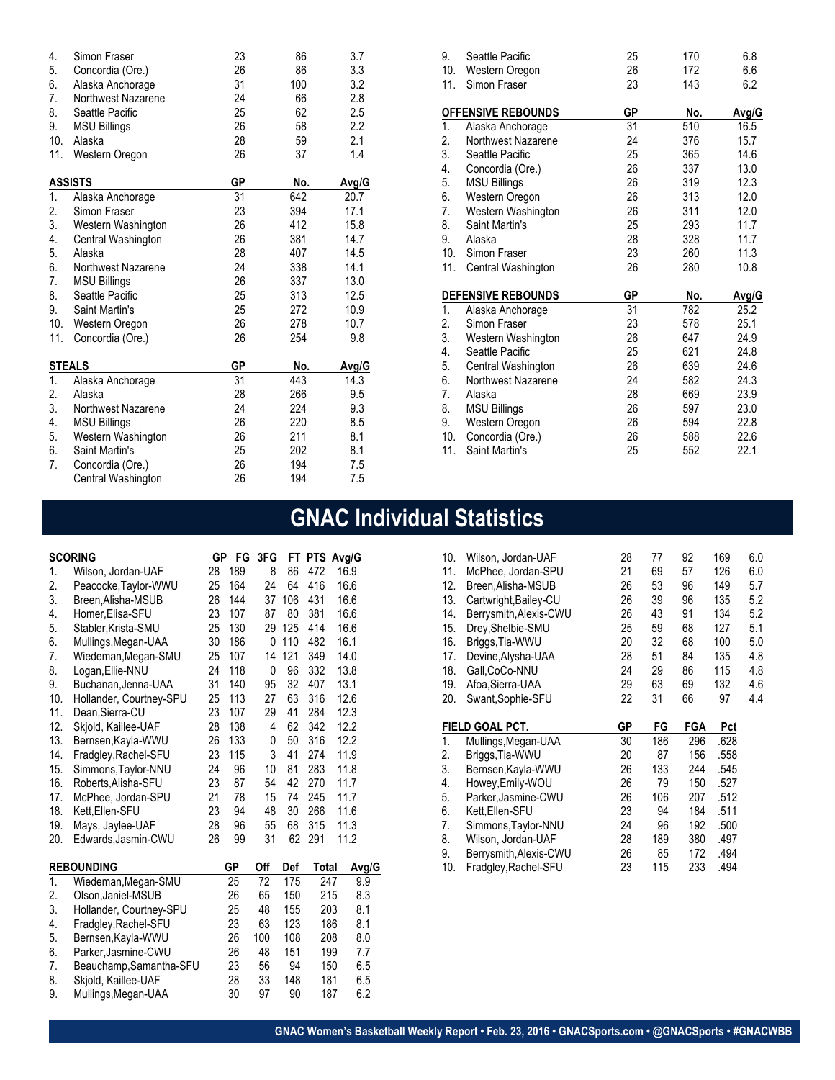| 4.  | Simon Fraser          | 23        | 86  | 3.7   |
|-----|-----------------------|-----------|-----|-------|
| 5.  | Concordia (Ore.)      | 26        | 86  | 3.3   |
| 6.  | Alaska Anchorage      | 31        | 100 | 3.2   |
| 7.  | Northwest Nazarene    | 24        | 66  | 2.8   |
| 8.  | Seattle Pacific       | 25        | 62  | 2.5   |
| 9.  | <b>MSU Billings</b>   | 26        | 58  | 2.2   |
| 10. | Alaska                | 28        | 59  | 2.1   |
| 11. | Western Oregon        | 26        | 37  | 1.4   |
|     | <b>ASSISTS</b>        | <b>GP</b> | No. | Avg/G |
| 1.  | Alaska Anchorage      | 31        | 642 | 20.7  |
| 2.  | Simon Fraser          | 23        | 394 | 17.1  |
| 3.  | Western Washington    | 26        | 412 | 15.8  |
| 4.  | Central Washington    | 26        | 381 | 14.7  |
| 5.  | Alaska                | 28        | 407 | 14.5  |
| 6.  | Northwest Nazarene    | 24        | 338 | 14.1  |
| 7.  | <b>MSU Billings</b>   | 26        | 337 | 13.0  |
| 8.  | Seattle Pacific       | 25        | 313 | 12.5  |
| 9.  | <b>Saint Martin's</b> | 25        | 272 | 10.9  |
| 10. | Western Oregon        | 26        | 278 | 10.7  |
| 11. | Concordia (Ore.)      | 26        | 254 | 9.8   |
|     | <b>STEALS</b>         | GP        | No. | Avg/G |
| 1.  | Alaska Anchorage      | 31        | 443 | 14.3  |
| 2.  | Alaska                | 28        | 266 | 9.5   |
| 3.  | Northwest Nazarene    | 24        | 224 | 9.3   |
| 4.  | <b>MSU Billings</b>   | 26        | 220 | 8.5   |
| 5.  | Western Washington    | 26        | 211 | 8.1   |
| 6.  | Saint Martin's        | 25        | 202 | 8.1   |
| 7.  | Concordia (Ore.)      | 26        | 194 | 7.5   |
|     | Central Washington    | 26        | 194 | 7.5   |

| 9.<br>10. | Seattle Pacific<br>Western Oregon | 25<br>26 | 170<br>172 | 6.8<br>6.6 |
|-----------|-----------------------------------|----------|------------|------------|
| 11.       | Simon Fraser                      | 23       | 143        | 6.2        |
|           | <b>OFFENSIVE REBOUNDS</b>         | GР       | No.        | Avg/G      |
| 1.        | Alaska Anchorage                  | 31       | 510        | 16.5       |
| 2.        | Northwest Nazarene                | 24       | 376        | 15.7       |
| 3.        | Seattle Pacific                   | 25       | 365        | 14.6       |
| 4.        | Concordia (Ore.)                  | 26       | 337        | 13.0       |
| 5.        | <b>MSU Billings</b>               | 26       | 319        | 12.3       |
| 6.        | Western Oregon                    | 26       | 313        | 12.0       |
| 7.        | Western Washington                | 26       | 311        | 12.0       |
| 8.        | Saint Martin's                    | 25       | 293        | 11.7       |
| 9.        | Alaska                            | 28       | 328        | 11.7       |
| 10.       | Simon Fraser                      | 23       | 260        | 11.3       |
| 11.       | Central Washington                | 26       | 280        | 10.8       |
|           | <b>DEFENSIVE REBOUNDS</b>         | GP       | No.        | Avg/G      |
| 1.        | Alaska Anchorage                  | 31       | 782        | 25.2       |
| 2.        | Simon Fraser                      | 23       | 578        | 25.1       |
| 3.        | Western Washington                | 26       | 647        | 24.9       |
| 4.        | Seattle Pacific                   | 25       | 621        | 24.8       |
| 5.        | Central Washington                | 26       | 639        | 24.6       |
| 6.        | Northwest Nazarene                | 24       | 582        | 24.3       |
| 7.        | Alaska                            | 28       | 669        | 23.9       |
| 8.        | <b>MSU Billings</b>               | 26       | 597        | 23.0       |
| 9.        | Western Oregon                    | 26       | 594        | 22.8       |
| 10.       | Concordia (Ore.)                  | 26       | 588        | 22.6       |
| 11.       | <b>Saint Martin's</b>             | 25       | 552        | 22.1       |

# **GNAC Individual Statistics**

|     | <b>SCORING</b>          | GР | FG  | 3FG | FT  | PTS Avg/G |     |       |
|-----|-------------------------|----|-----|-----|-----|-----------|-----|-------|
| 1.  | Wilson, Jordan-UAF      | 28 | 189 | 8   | 86  | 472       |     | 16.9  |
| 2.  | Peacocke, Taylor-WWU    | 25 | 164 | 24  | 64  | 416       |     | 16.6  |
| 3.  | Breen, Alisha-MSUB      | 26 | 144 | 37  | 106 | 431       |     | 16.6  |
| 4.  | Homer, Elisa-SFU        | 23 | 107 | 87  | 80  | 381       |     | 16.6  |
| 5.  | Stabler, Krista-SMU     | 25 | 130 | 29  | 125 | 414       |     | 16.6  |
| 6.  | Mullings, Megan-UAA     | 30 | 186 | 0   | 110 | 482       |     | 16.1  |
| 7.  | Wiedeman, Megan-SMU     | 25 | 107 | 14  | 121 | 349       |     | 14.0  |
| 8.  | Logan, Ellie-NNU        | 24 | 118 | 0   | 96  | 332       |     | 13.8  |
| 9.  | Buchanan, Jenna-UAA     | 31 | 140 | 95  | 32  | 407       |     | 13.1  |
| 10. | Hollander, Courtney-SPU | 25 | 113 | 27  | 63  | 316       |     | 12.6  |
| 11. | Dean, Sierra-CU         | 23 | 107 | 29  | 41  | 284       |     | 12.3  |
| 12. | Skjold, Kaillee-UAF     | 28 | 138 | 4   | 62  | 342       |     | 12.2  |
| 13. | Bernsen, Kayla-WWU      | 26 | 133 | 0   | 50  | 316       |     | 12.2  |
| 14. | Fradgley, Rachel-SFU    | 23 | 115 | 3   | 41  | 274       |     | 11.9  |
| 15. | Simmons, Taylor-NNU     | 24 | 96  | 10  | 81  | 283       |     | 11.8  |
| 16. | Roberts, Alisha-SFU     | 23 | 87  | 54  | 42  | 270       |     | 11.7  |
| 17. | McPhee, Jordan-SPU      | 21 | 78  | 15  | 74  | 245       |     | 11.7  |
| 18. | Kett, Ellen-SFU         | 23 | 94  | 48  | 30  | 266       |     | 11.6  |
| 19. | Mays, Jaylee-UAF        | 28 | 96  | 55  | 68  | 315       |     | 11.3  |
| 20. | Edwards, Jasmin-CWU     | 26 | 99  | 31  | 62  | 291       |     | 11.2  |
|     | <b>REBOUNDING</b>       |    | GP  | Off | Def | Total     |     | Avg/G |
| 1.  | Wiedeman, Megan-SMU     |    | 25  | 72  | 175 | 247       |     | 9.9   |
| 2.  | Olson, Janiel-MSUB      |    | 26  | 65  | 150 | 215       |     | 8.3   |
| 3.  | Hollander, Courtney-SPU |    | 25  | 48  | 155 |           | 203 | 8.1   |
| 4.  | Fradgley, Rachel-SFU    |    | 23  | 63  | 123 |           | 186 | 8.1   |
| 5.  | Bernsen, Kayla-WWU      |    | 26  | 100 | 108 |           | 208 | 8.0   |
| 6.  | Parker, Jasmine-CWU     |    | 26  | 48  | 151 |           | 199 | 7.7   |
| 7.  | Beauchamp, Samantha-SFU |    | 23  | 56  | 94  |           | 150 | 6.5   |
| 8.  | Skjold, Kaillee-UAF     |    | 28  | 33  | 148 |           | 181 | 6.5   |
| 9.  | Mullings, Megan-UAA     |    | 30  | 97  | 90  |           | 187 | 6.2   |

| 10. | Wilson, Jordan-UAF     | 28 | 77  | 92         | 169  | 6.0 |
|-----|------------------------|----|-----|------------|------|-----|
| 11. | McPhee, Jordan-SPU     | 21 | 69  | 57         | 126  | 6.0 |
| 12. | Breen, Alisha-MSUB     | 26 | 53  | 96         | 149  | 5.7 |
| 13. | Cartwright, Bailey-CU  | 26 | 39  | 96         | 135  | 5.2 |
| 14. | Berrysmith, Alexis-CWU | 26 | 43  | 91         | 134  | 5.2 |
| 15. | Drey, Shelbie-SMU      | 25 | 59  | 68         | 127  | 5.1 |
| 16. | Briggs, Tia-WWU        | 20 | 32  | 68         | 100  | 5.0 |
| 17. | Devine, Alysha-UAA     | 28 | 51  | 84         | 135  | 4.8 |
| 18. | Gall, CoCo-NNU         | 24 | 29  | 86         | 115  | 4.8 |
| 19. | Afoa,Sierra-UAA        | 29 | 63  | 69         | 132  | 4.6 |
| 20. | Swant, Sophie-SFU      | 22 | 31  | 66         | 97   | 4.4 |
|     |                        |    |     |            |      |     |
|     |                        |    |     |            |      |     |
|     | <b>FIELD GOAL PCT.</b> | GР | FG  | <b>FGA</b> | Pct  |     |
| 1.  | Mullings, Megan-UAA    | 30 | 186 | 296        | .628 |     |
| 2.  | Briggs, Tia-WWU        | 20 | 87  | 156        | .558 |     |
| 3.  | Bernsen, Kayla-WWU     | 26 | 133 | 244        | .545 |     |
| 4.  | Howey, Emily-WOU       | 26 | 79  | 150        | .527 |     |
| 5.  | Parker, Jasmine-CWU    | 26 | 106 | 207        | .512 |     |
| 6.  | Kett,Ellen-SFU         | 23 | 94  | 184        | .511 |     |
| 7.  | Simmons, Taylor-NNU    | 24 | 96  | 192        | .500 |     |
| 8.  | Wilson, Jordan-UAF     | 28 | 189 | 380        | .497 |     |
| 9.  | Berrysmith, Alexis-CWU | 26 | 85  | 172        | .494 |     |
| 10. | Fradgley, Rachel-SFU   | 23 | 115 | 233        | .494 |     |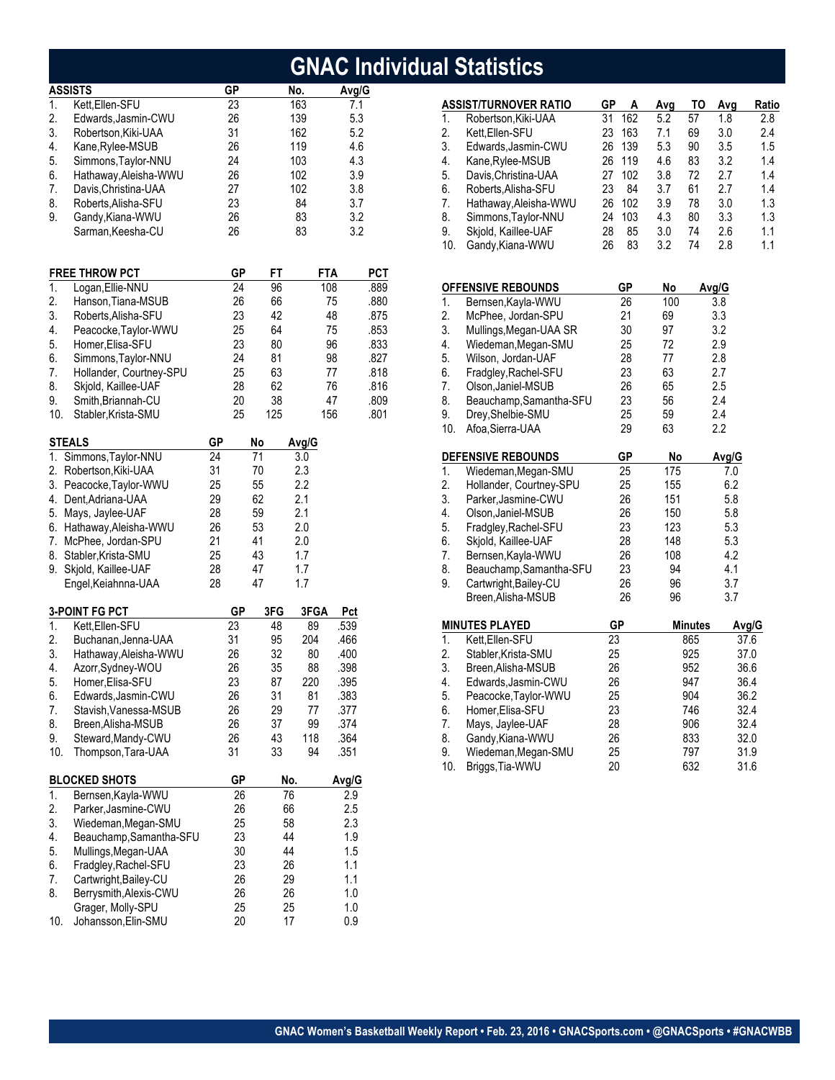|                                                           |                                                                                                                                                                                                                                                            |                                                          |                                                           |                                                                    |                                                                              |                                                                              |                                                           | <b>GNAC Individual Statistics</b>                                                                                                                                                                                                    |
|-----------------------------------------------------------|------------------------------------------------------------------------------------------------------------------------------------------------------------------------------------------------------------------------------------------------------------|----------------------------------------------------------|-----------------------------------------------------------|--------------------------------------------------------------------|------------------------------------------------------------------------------|------------------------------------------------------------------------------|-----------------------------------------------------------|--------------------------------------------------------------------------------------------------------------------------------------------------------------------------------------------------------------------------------------|
|                                                           | <b>ASSISTS</b>                                                                                                                                                                                                                                             | GP                                                       |                                                           | No.                                                                |                                                                              | Avg/G                                                                        |                                                           |                                                                                                                                                                                                                                      |
| 1.<br>2.<br>3.<br>4.<br>5.<br>6.<br>7.                    | Kett, Ellen-SFU<br>Edwards, Jasmin-CWU<br>Robertson, Kiki-UAA<br>Kane, Rylee-MSUB<br>Simmons, Taylor-NNU<br>Hathaway, Aleisha-WWU<br>Davis, Christina-UAA                                                                                                  | 23<br>26<br>31<br>26<br>24<br>26<br>27                   |                                                           | 163<br>139<br>162<br>119<br>103<br>102<br>102                      |                                                                              | 7.1<br>5.3<br>5.2<br>4.6<br>4.3<br>3.9<br>3.8                                | 1.<br>2.<br>3.<br>4.<br>5.<br>6.                          | <b>ASSIST/TURNOVER R</b><br>Robertson, Kiki-UA<br>Kett, Ellen-SFU<br>Edwards, Jasmin-0<br>Kane, Rylee-MSUE<br>Davis, Christina-U/<br>Roberts, Alisha-SF                                                                              |
| 8.<br>9.                                                  | Roberts, Alisha-SFU<br>Gandy, Kiana-WWU<br>Sarman, Keesha-CU                                                                                                                                                                                               | 23<br>26<br>26                                           |                                                           | 84<br>83<br>83                                                     |                                                                              | 3.7<br>3.2<br>3.2                                                            | 7.<br>8.<br>9.<br>10.                                     | Hathaway, Aleisha<br>Simmons, Taylor-N<br>Skjold, Kaillee-UA<br>Gandy, Kiana-WW                                                                                                                                                      |
|                                                           | <b>FREE THROW PCT</b>                                                                                                                                                                                                                                      | GP                                                       | FT                                                        |                                                                    | FTA                                                                          | PCT                                                                          |                                                           |                                                                                                                                                                                                                                      |
| 1.<br>2.<br>3.<br>4.<br>5.<br>6.<br>7.<br>8.<br>9.<br>10. | Logan, Ellie-NNU<br>Hanson, Tiana-MSUB<br>Roberts, Alisha-SFU<br>Peacocke, Taylor-WWU<br>Homer, Elisa-SFU<br>Simmons, Taylor-NNU<br>Hollander, Courtney-SPU<br>Skjold, Kaillee-UAF<br>Smith, Briannah-CU<br>Stabler, Krista-SMU                            | 24<br>26<br>23<br>25<br>23<br>24<br>25<br>28<br>20<br>25 | 96<br>66<br>42<br>64<br>80<br>81<br>63<br>62<br>38<br>125 |                                                                    | 108<br>75<br>48<br>75<br>96<br>98<br>77<br>76<br>47<br>156                   | .889<br>.880<br>.875<br>.853<br>.833<br>.827<br>.818<br>.816<br>.809<br>.801 | 1.<br>2.<br>3.<br>4.<br>5.<br>6.<br>7.<br>8.<br>9.<br>10. | <b>OFFENSIVE REBOUNI</b><br>Bernsen, Kayla-W<br>McPhee, Jordan-S<br>Mullings, Megan-U<br>Wiedeman, Megan<br>Wilson, Jordan-UA<br>Fradgley, Rachel-S<br>Olson, Janiel-MSU<br>Beauchamp, Sama<br>Drey, Shelbie-SML<br>Afoa, Sierra-UAA |
|                                                           | <b>STEALS</b>                                                                                                                                                                                                                                              | GP                                                       | No                                                        | Avg/G                                                              |                                                                              |                                                                              |                                                           |                                                                                                                                                                                                                                      |
|                                                           | 1. Simmons, Taylor-NNU<br>2. Robertson, Kiki-UAA<br>3. Peacocke, Taylor-WWU<br>4. Dent, Adriana-UAA<br>5. Mays, Jaylee-UAF<br>6. Hathaway, Aleisha-WWU<br>7. McPhee, Jordan-SPU<br>8. Stabler, Krista-SMU<br>9. Skjold, Kaillee-UAF<br>Engel, Keiahnna-UAA | 24<br>31<br>25<br>29<br>28<br>26<br>21<br>25<br>28<br>28 | 71<br>70<br>55<br>62<br>59<br>53<br>41<br>43<br>47<br>47  | 3.0<br>2.3<br>2.2<br>2.1<br>2.1<br>2.0<br>2.0<br>1.7<br>1.7<br>1.7 |                                                                              |                                                                              | 1.<br>2.<br>3.<br>4.<br>5.<br>6.<br>7.<br>8.<br>9.        | DEFENSIVE REBOUNI<br>Wiedeman, Megan<br>Hollander, Courtne<br>Parker, Jasmine-C<br>Olson, Janiel-MSU<br>Fradgley, Rachel-S<br>Skjold, Kaillee-UA<br>Bernsen, Kayla-W<br>Beauchamp, Sama<br>Cartwright, Bailey-<br>Breen, Alisha-MSL  |
|                                                           | <b>3-POINT FG PCT</b>                                                                                                                                                                                                                                      | <b>GP</b>                                                | 3FG                                                       | 3FGA                                                               | Pct                                                                          |                                                                              |                                                           |                                                                                                                                                                                                                                      |
| 1.<br>2.<br>3.<br>4.<br>5.<br>6.<br>7.<br>8.<br>9.<br>10. | Kett, Ellen-SFU<br>Buchanan, Jenna-UAA<br>Hathaway, Aleisha-WWU<br>Azorr, Sydney-WOU<br>Homer, Elisa-SFU<br>Edwards, Jasmin-CWU<br>Stavish, Vanessa-MSUB<br>Breen, Alisha-MSUB<br>Steward, Mandy-CWU<br>Thompson, Tara-UAA                                 | 23<br>31<br>26<br>26<br>23<br>26<br>26<br>26<br>26<br>31 | 48<br>95<br>32<br>35<br>87<br>31<br>29<br>37<br>43<br>33  | 89<br>204<br>80<br>88<br>220<br>81<br>77<br>99<br>118<br>94        | .539<br>.466<br>.400<br>.398<br>.395<br>.383<br>.377<br>.374<br>.364<br>.351 |                                                                              | 1.<br>2.<br>3.<br>4.<br>5.<br>6.<br>7.<br>8.<br>9.<br>10. | <b>MINUTES PLAYED</b><br>Kett, Ellen-SFU<br>Stabler, Krista-SMI<br>Breen, Alisha-MSL<br>Edwards, Jasmin-0<br>Peacocke, Taylor-\<br>Homer, Elisa-SFU<br>Mays, Jaylee-UAF<br>Gandy, Kiana-WW<br>Wiedeman, Megan<br>Briggs, Tia-WWU     |
|                                                           | <b>BLOCKED SHOTS</b>                                                                                                                                                                                                                                       | GP                                                       |                                                           | No.                                                                | Avg/G                                                                        |                                                                              |                                                           |                                                                                                                                                                                                                                      |
| 1.<br>2.<br>3.<br>4.<br>5.<br>6.<br>7.<br>8.<br>10.       | Bernsen, Kayla-WWU<br>Parker, Jasmine-CWU<br>Wiedeman, Megan-SMU<br>Beauchamp, Samantha-SFU<br>Mullings, Megan-UAA<br>Fradgley, Rachel-SFU<br>Cartwright, Bailey-CU<br>Berrysmith, Alexis-CWU<br>Grager, Molly-SPU<br>Johansson, Elin-SMU                  | 26<br>26<br>25<br>23<br>30<br>23<br>26<br>26<br>25<br>20 |                                                           | 76<br>66<br>58<br>44<br>44<br>26<br>29<br>26<br>25<br>17           | 2.9<br>2.5<br>2.3<br>1.9<br>1.5<br>1.1<br>1.1<br>1.0<br>1.0<br>0.9           |                                                                              |                                                           |                                                                                                                                                                                                                                      |

|                  | <b>ASSIST/TURNOVER RATIO</b> | GP        | A   | Avg | TO             | Avg   | Ratio |
|------------------|------------------------------|-----------|-----|-----|----------------|-------|-------|
| 1.               | Robertson, Kiki-UAA          | 31        | 162 | 5.2 | 57             | 1.8   | 2.8   |
| 2.               | Kett, Ellen-SFU              | 23        | 163 | 7.1 | 69             | 3.0   | 2.4   |
| 3.               | Edwards, Jasmin-CWU          | 26        | 139 | 5.3 | 90             | 3.5   | 1.5   |
| 4.               | Kane, Rylee-MSUB             | 26        | 119 | 4.6 | 83             | 3.2   | 1.4   |
| 5.               | Davis, Christina-UAA         | 27        | 102 | 3.8 | 72             | 2.7   | 1.4   |
| 6.               | Roberts, Alisha-SFU          | 23        | 84  | 3.7 | 61             | 2.7   | 1.4   |
| 7.               | Hathaway, Aleisha-WWU        | 26        | 102 | 3.9 | 78             | 3.0   | 1.3   |
| 8.               | Simmons, Taylor-NNU          | 24        | 103 | 4.3 | 80             | 3.3   | 1.3   |
| 9.               | Skjold, Kaillee-UAF          | 28        | 85  | 3.0 | 74             | 2.6   | 1.1   |
| 10.              | Gandy, Kiana-WWU             | 26        | 83  | 3.2 | 74             | 2.8   | 1.1   |
|                  | <b>OFFENSIVE REBOUNDS</b>    |           | GР  | No  |                | Avg/G |       |
| $\overline{1}$ . | Bernsen, Kayla-WWU           |           | 26  | 100 |                | 3.8   |       |
| 2.               | McPhee, Jordan-SPU           |           | 21  | 69  |                | 3.3   |       |
| 3.               | Mullings, Megan-UAA SR       |           | 30  | 97  |                | 3.2   |       |
| 4.               | Wiedeman, Megan-SMU          |           | 25  | 72  |                | 2.9   |       |
| 5.               | Wilson, Jordan-UAF           |           | 28  | 77  |                | 2.8   |       |
| 6.               | Fradgley, Rachel-SFU         |           | 23  | 63  |                | 2.7   |       |
| 7.               | Olson, Janiel-MSUB           |           | 26  | 65  |                | 2.5   |       |
| 8.               | Beauchamp, Samantha-SFU      |           | 23  | 56  |                | 2.4   |       |
| 9.               | Drey, Shelbie-SMU            |           | 25  | 59  |                | 2.4   |       |
| 10.              | Afoa, Sierra-UAA             |           | 29  | 63  |                | 2.2   |       |
|                  |                              |           |     |     |                |       |       |
|                  | DEFENSIVE REBOUNDS           |           | GР  | No  |                | Avg/G |       |
| 1.               | Wiedeman, Megan-SMU          |           | 25  | 175 |                | 7.0   |       |
| 2.               | Hollander, Courtney-SPU      |           | 25  | 155 |                | 6.2   |       |
| 3.               | Parker, Jasmine-CWU          |           | 26  | 151 |                | 5.8   |       |
| 4.               | Olson, Janiel-MSUB           |           | 26  | 150 |                | 5.8   |       |
| 5.               | Fradgley, Rachel-SFU         |           | 23  | 123 |                | 5.3   |       |
| 6.               | Skjold, Kaillee-UAF          |           | 28  | 148 |                | 5.3   |       |
| 7.               | Bernsen, Kayla-WWU           |           | 26  | 108 |                | 4.2   |       |
| 8.               | Beauchamp, Samantha-SFU      |           | 23  | 94  |                | 4.1   |       |
| 9.               | Cartwright, Bailey-CU        |           | 26  | 96  |                | 3.7   |       |
|                  | Breen, Alisha-MSUB           |           | 26  | 96  |                | 3.7   |       |
|                  | <b>MINUTES PLAYED</b>        | <b>GP</b> |     |     | <b>Minutes</b> |       | Avg/G |
| 1.               | Kett, Ellen-SFU              | 23        |     |     | 865            |       | 37.6  |
| 2.               | Stabler, Krista-SMU          | 25        |     |     | 925            |       | 37.0  |
| 3.               | Breen, Alisha-MSUB           | 26        |     |     | 952            |       | 36.6  |
| 4.               | Edwards, Jasmin-CWU          | 26        |     |     | 947            |       | 36.4  |
| 5.               | Peacocke, Taylor-WWU         | 25        |     |     | 904            |       | 36.2  |
| 6.               | Homer, Elisa-SFU             | 23        |     |     | 746            |       | 32.4  |
| 7.               | Mays, Jaylee-UAF             | 28        |     |     | 906            |       | 32.4  |
| 8.               | Gandy, Kiana-WWU             | 26        |     |     | 833            |       | 32.0  |
|                  |                              |           |     |     |                |       |       |

#### 9. Wiedeman,Megan-SMU 25 797 31.9 10. 832<br>10. Briggs, 20. 632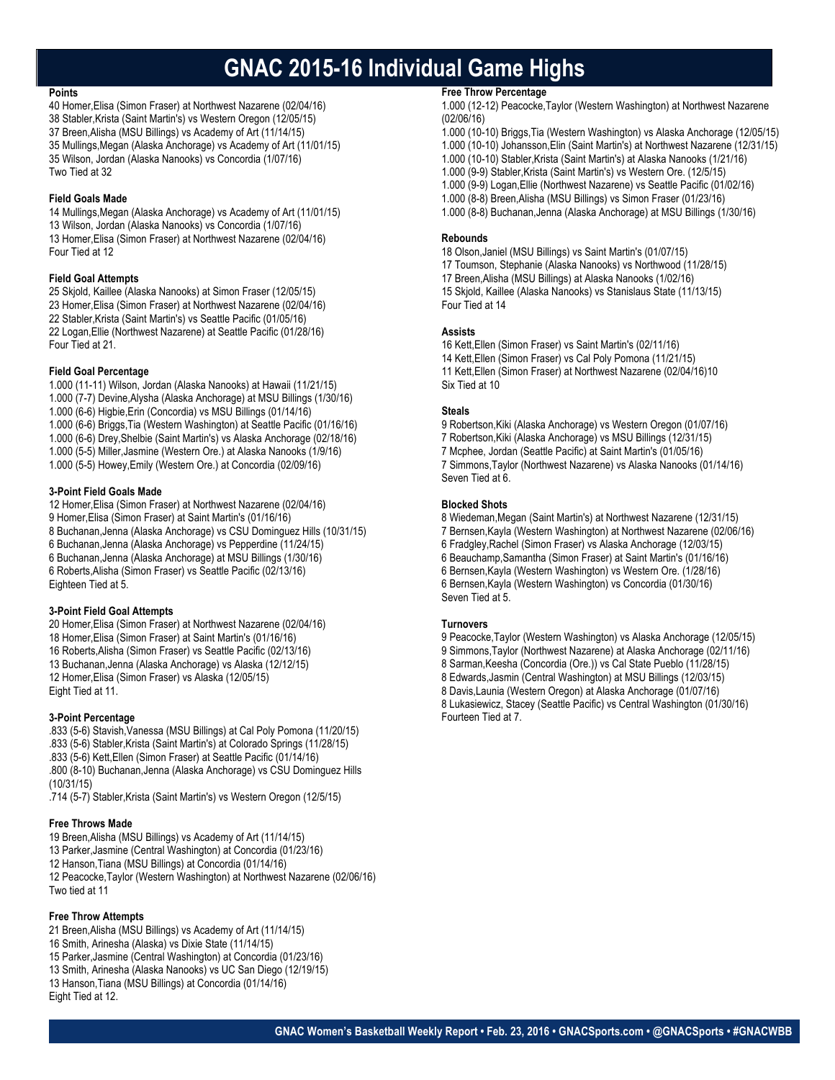# **GNAC 2015-16 Individual Game Highs**

#### **Points**

40 Homer,Elisa (Simon Fraser) at Northwest Nazarene (02/04/16) 38 Stabler,Krista (Saint Martin's) vs Western Oregon (12/05/15) 37 Breen,Alisha (MSU Billings) vs Academy of Art (11/14/15) 35 Mullings,Megan (Alaska Anchorage) vs Academy of Art (11/01/15) 35 Wilson, Jordan (Alaska Nanooks) vs Concordia (1/07/16) Two Tied at 32

#### **Field Goals Made**

14 Mullings,Megan (Alaska Anchorage) vs Academy of Art (11/01/15) 13 Wilson, Jordan (Alaska Nanooks) vs Concordia (1/07/16) 13 Homer,Elisa (Simon Fraser) at Northwest Nazarene (02/04/16) Four Tied at 12

#### **Field Goal Attempts**

25 Skjold, Kaillee (Alaska Nanooks) at Simon Fraser (12/05/15) 23 Homer,Elisa (Simon Fraser) at Northwest Nazarene (02/04/16) 22 Stabler,Krista (Saint Martin's) vs Seattle Pacific (01/05/16) 22 Logan,Ellie (Northwest Nazarene) at Seattle Pacific (01/28/16) Four Tied at 21.

#### **Field Goal Percentage**

1.000 (11-11) Wilson, Jordan (Alaska Nanooks) at Hawaii (11/21/15) 1.000 (7-7) Devine,Alysha (Alaska Anchorage) at MSU Billings (1/30/16) 1.000 (6-6) Higbie,Erin (Concordia) vs MSU Billings (01/14/16) 1.000 (6-6) Briggs,Tia (Western Washington) at Seattle Pacific (01/16/16) 1.000 (6-6) Drey,Shelbie (Saint Martin's) vs Alaska Anchorage (02/18/16) 1.000 (5-5) Miller,Jasmine (Western Ore.) at Alaska Nanooks (1/9/16) 1.000 (5-5) Howey,Emily (Western Ore.) at Concordia (02/09/16)

#### **3-Point Field Goals Made**

12 Homer,Elisa (Simon Fraser) at Northwest Nazarene (02/04/16) 9 Homer,Elisa (Simon Fraser) at Saint Martin's (01/16/16) 8 Buchanan,Jenna (Alaska Anchorage) vs CSU Dominguez Hills (10/31/15) 6 Buchanan,Jenna (Alaska Anchorage) vs Pepperdine (11/24/15) 6 Buchanan,Jenna (Alaska Anchorage) at MSU Billings (1/30/16) 6 Roberts,Alisha (Simon Fraser) vs Seattle Pacific (02/13/16) Eighteen Tied at 5.

#### **3-Point Field Goal Attempts**

20 Homer,Elisa (Simon Fraser) at Northwest Nazarene (02/04/16) 18 Homer,Elisa (Simon Fraser) at Saint Martin's (01/16/16) 16 Roberts,Alisha (Simon Fraser) vs Seattle Pacific (02/13/16) 13 Buchanan,Jenna (Alaska Anchorage) vs Alaska (12/12/15) 12 Homer,Elisa (Simon Fraser) vs Alaska (12/05/15) Eight Tied at 11.

#### **3-Point Percentage**

.833 (5-6) Stavish,Vanessa (MSU Billings) at Cal Poly Pomona (11/20/15) .833 (5-6) Stabler,Krista (Saint Martin's) at Colorado Springs (11/28/15) .833 (5-6) Kett,Ellen (Simon Fraser) at Seattle Pacific (01/14/16) .800 (8-10) Buchanan,Jenna (Alaska Anchorage) vs CSU Dominguez Hills (10/31/15)

.714 (5-7) Stabler,Krista (Saint Martin's) vs Western Oregon (12/5/15)

#### **Free Throws Made**

19 Breen,Alisha (MSU Billings) vs Academy of Art (11/14/15) 13 Parker,Jasmine (Central Washington) at Concordia (01/23/16) 12 Hanson,Tiana (MSU Billings) at Concordia (01/14/16) 12 Peacocke,Taylor (Western Washington) at Northwest Nazarene (02/06/16) Two tied at 11

#### **Free Throw Attempts**

21 Breen,Alisha (MSU Billings) vs Academy of Art (11/14/15) 16 Smith, Arinesha (Alaska) vs Dixie State (11/14/15) 15 Parker,Jasmine (Central Washington) at Concordia (01/23/16) 13 Smith, Arinesha (Alaska Nanooks) vs UC San Diego (12/19/15) 13 Hanson,Tiana (MSU Billings) at Concordia (01/14/16) Eight Tied at 12.

#### **Free Throw Percentage**

1.000 (12-12) Peacocke,Taylor (Western Washington) at Northwest Nazarene (02/06/16)

- 1.000 (10-10) Briggs,Tia (Western Washington) vs Alaska Anchorage (12/05/15)
- 1.000 (10-10) Johansson,Elin (Saint Martin's) at Northwest Nazarene (12/31/15)
- 1.000 (10-10) Stabler,Krista (Saint Martin's) at Alaska Nanooks (1/21/16)
- 1.000 (9-9) Stabler,Krista (Saint Martin's) vs Western Ore. (12/5/15)
- 1.000 (9-9) Logan,Ellie (Northwest Nazarene) vs Seattle Pacific (01/02/16)
- 1.000 (8-8) Breen,Alisha (MSU Billings) vs Simon Fraser (01/23/16)
- 1.000 (8-8) Buchanan,Jenna (Alaska Anchorage) at MSU Billings (1/30/16)

#### **Rebounds**

18 Olson,Janiel (MSU Billings) vs Saint Martin's (01/07/15) 17 Toumson, Stephanie (Alaska Nanooks) vs Northwood (11/28/15) 17 Breen,Alisha (MSU Billings) at Alaska Nanooks (1/02/16) 15 Skjold, Kaillee (Alaska Nanooks) vs Stanislaus State (11/13/15) Four Tied at 14

#### **Assists**

16 Kett,Ellen (Simon Fraser) vs Saint Martin's (02/11/16) 14 Kett,Ellen (Simon Fraser) vs Cal Poly Pomona (11/21/15) 11 Kett,Ellen (Simon Fraser) at Northwest Nazarene (02/04/16)10 Six Tied at 10

#### **Steals**

9 Robertson,Kiki (Alaska Anchorage) vs Western Oregon (01/07/16) 7 Robertson,Kiki (Alaska Anchorage) vs MSU Billings (12/31/15) 7 Mcphee, Jordan (Seattle Pacific) at Saint Martin's (01/05/16) 7 Simmons,Taylor (Northwest Nazarene) vs Alaska Nanooks (01/14/16) Seven Tied at 6.

#### **Blocked Shots**

8 Wiedeman,Megan (Saint Martin's) at Northwest Nazarene (12/31/15) 7 Bernsen,Kayla (Western Washington) at Northwest Nazarene (02/06/16) 6 Fradgley,Rachel (Simon Fraser) vs Alaska Anchorage (12/03/15) 6 Beauchamp,Samantha (Simon Fraser) at Saint Martin's (01/16/16) 6 Bernsen,Kayla (Western Washington) vs Western Ore. (1/28/16) 6 Bernsen,Kayla (Western Washington) vs Concordia (01/30/16) Seven Tied at 5.

#### **Turnovers**

9 Peacocke,Taylor (Western Washington) vs Alaska Anchorage (12/05/15) 9 Simmons,Taylor (Northwest Nazarene) at Alaska Anchorage (02/11/16) 8 Sarman,Keesha (Concordia (Ore.)) vs Cal State Pueblo (11/28/15) 8 Edwards,Jasmin (Central Washington) at MSU Billings (12/03/15) 8 Davis,Launia (Western Oregon) at Alaska Anchorage (01/07/16) 8 Lukasiewicz, Stacey (Seattle Pacific) vs Central Washington (01/30/16) Fourteen Tied at 7.